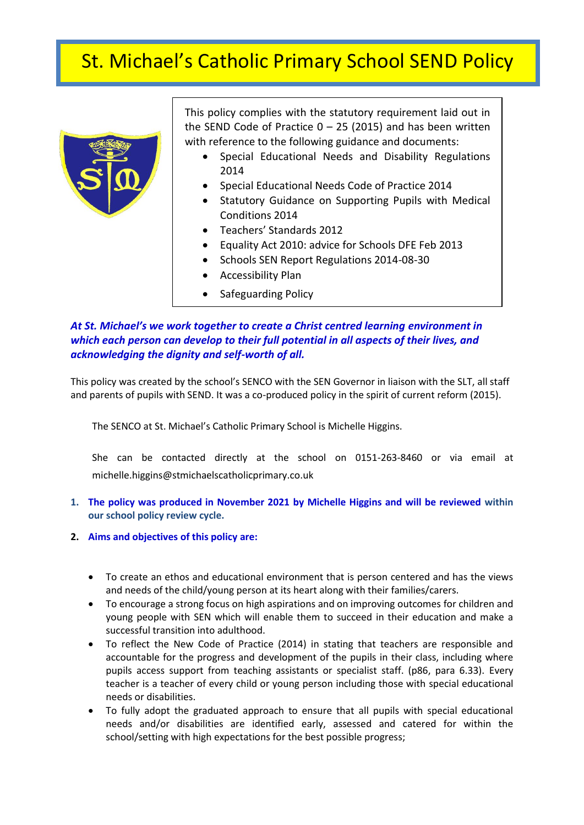# **,** St. Michael's Catholic Primary School SEND Policy



This policy complies with the statutory requirement laid out in the SEND Code of Practice  $0 - 25$  (2015) and has been written with reference to the following guidance and documents:

- Special Educational Needs and Disability Regulations 2014
- Special Educational Needs Code of Practice 2014
- Statutory Guidance on Supporting Pupils with Medical Conditions 2014
- Teachers' Standards 2012
- Equality Act 2010: advice for Schools DFE Feb 2013
- Schools SEN Report Regulations 2014-08-30
- Accessibility Plan
- Safeguarding Policy

## *At St. Michael's we work together to create a Christ centred learning environment in which each person can develop to their full potential in all aspects of their lives, and acknowledging the dignity and self-worth of all.*

This policy was created by the school's SENCO with the SEN Governor in liaison with the SLT, all staff and parents of pupils with SEND. It was a co-produced policy in the spirit of current reform (2015).

The SENCO at St. Michael's Catholic Primary School is Michelle Higgins.

She can be contacted directly at the school on 0151-263-8460 or via email at michelle.higgins@stmichaelscatholicprimary.co.uk

- **1. The policy was produced in November 2021 by Michelle Higgins and will be reviewed within our school policy review cycle.**
- **2. Aims and objectives of this policy are:**
	- To create an ethos and educational environment that is person centered and has the views and needs of the child/young person at its heart along with their families/carers.
	- To encourage a strong focus on high aspirations and on improving outcomes for children and young people with SEN which will enable them to succeed in their education and make a successful transition into adulthood.
	- To reflect the New Code of Practice (2014) in stating that teachers are responsible and accountable for the progress and development of the pupils in their class, including where pupils access support from teaching assistants or specialist staff. (p86, para 6.33). Every teacher is a teacher of every child or young person including those with special educational needs or disabilities.
	- To fully adopt the graduated approach to ensure that all pupils with special educational needs and/or disabilities are identified early, assessed and catered for within the school/setting with high expectations for the best possible progress;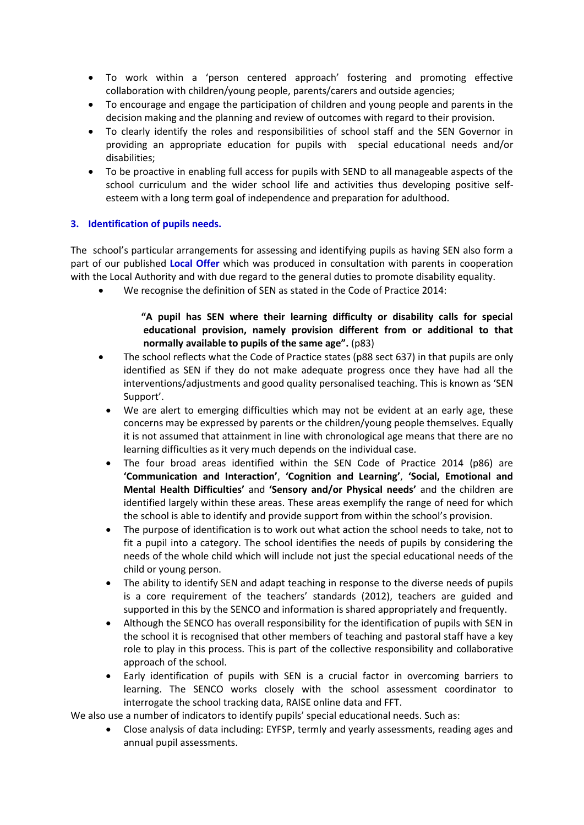- To work within a 'person centered approach' fostering and promoting effective collaboration with children/young people, parents/carers and outside agencies;
- To encourage and engage the participation of children and young people and parents in the decision making and the planning and review of outcomes with regard to their provision.
- To clearly identify the roles and responsibilities of school staff and the SEN Governor in providing an appropriate education for pupils with special educational needs and/or disabilities;
- To be proactive in enabling full access for pupils with SEND to all manageable aspects of the school curriculum and the wider school life and activities thus developing positive selfesteem with a long term goal of independence and preparation for adulthood.

## **3. Identification of pupils needs.**

The school's particular arrangements for assessing and identifying pupils as having SEN also form a part of our published **Local Offer** which was produced in consultation with parents in cooperation with the Local Authority and with due regard to the general duties to promote disability equality.

We recognise the definition of SEN as stated in the Code of Practice 2014:

## **"A pupil has SEN where their learning difficulty or disability calls for special educational provision, namely provision different from or additional to that normally available to pupils of the same age".** (p83)

- The school reflects what the Code of Practice states (p88 sect 637) in that pupils are only identified as SEN if they do not make adequate progress once they have had all the interventions/adjustments and good quality personalised teaching. This is known as 'SEN Support'.
- We are alert to emerging difficulties which may not be evident at an early age, these concerns may be expressed by parents or the children/young people themselves. Equally it is not assumed that attainment in line with chronological age means that there are no learning difficulties as it very much depends on the individual case.
- The four broad areas identified within the SEN Code of Practice 2014 (p86) are **'Communication and Interaction'**, **'Cognition and Learning'**, **'Social, Emotional and Mental Health Difficulties'** and **'Sensory and/or Physical needs'** and the children are identified largely within these areas. These areas exemplify the range of need for which the school is able to identify and provide support from within the school's provision.
- The purpose of identification is to work out what action the school needs to take, not to fit a pupil into a category. The school identifies the needs of pupils by considering the needs of the whole child which will include not just the special educational needs of the child or young person.
- The ability to identify SEN and adapt teaching in response to the diverse needs of pupils is a core requirement of the teachers' standards (2012), teachers are guided and supported in this by the SENCO and information is shared appropriately and frequently.
- Although the SENCO has overall responsibility for the identification of pupils with SEN in the school it is recognised that other members of teaching and pastoral staff have a key role to play in this process. This is part of the collective responsibility and collaborative approach of the school.
- Early identification of pupils with SEN is a crucial factor in overcoming barriers to learning. The SENCO works closely with the school assessment coordinator to interrogate the school tracking data, RAISE online data and FFT.

We also use a number of indicators to identify pupils' special educational needs. Such as:

 Close analysis of data including: EYFSP, termly and yearly assessments, reading ages and annual pupil assessments.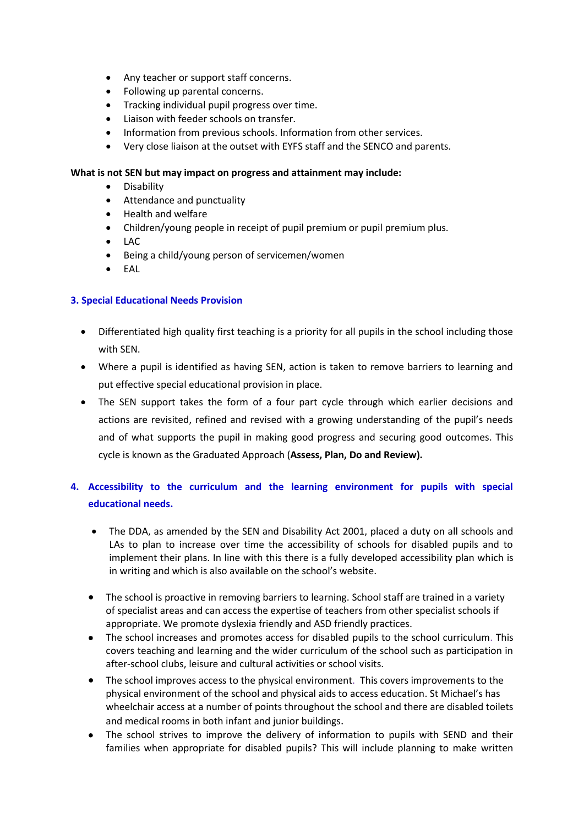- Any teacher or support staff concerns.
- Following up parental concerns.
- **•** Tracking individual pupil progress over time.
- Liaison with feeder schools on transfer.
- Information from previous schools. Information from other services.
- Very close liaison at the outset with EYFS staff and the SENCO and parents.

## **What is not SEN but may impact on progress and attainment may include:**

- Disability
- Attendance and punctuality
- Health and welfare
- Children/young people in receipt of pupil premium or pupil premium plus.
- LAC
- Being a child/young person of servicemen/women
- EAL

## **3. Special Educational Needs Provision**

- Differentiated high quality first teaching is a priority for all pupils in the school including those with SEN.
- Where a pupil is identified as having SEN, action is taken to remove barriers to learning and put effective special educational provision in place.
- The SEN support takes the form of a four part cycle through which earlier decisions and actions are revisited, refined and revised with a growing understanding of the pupil's needs and of what supports the pupil in making good progress and securing good outcomes. This cycle is known as the Graduated Approach (**Assess, Plan, Do and Review).**

## **4. Accessibility to the curriculum and the learning environment for pupils with special educational needs.**

- The DDA, as amended by the SEN and Disability Act 2001, placed a duty on all schools and LAs to plan to increase over time the accessibility of schools for disabled pupils and to implement their plans. In line with this there is a fully developed accessibility plan which is in writing and which is also available on the school's website.
- The school is proactive in removing barriers to learning. School staff are trained in a variety of specialist areas and can access the expertise of teachers from other specialist schools if appropriate. We promote dyslexia friendly and ASD friendly practices.
- The school increases and promotes access for disabled pupils to the school curriculum. This covers teaching and learning and the wider curriculum of the school such as participation in after-school clubs, leisure and cultural activities or school visits.
- The school improves access to the physical environment. This covers improvements to the physical environment of the school and physical aids to access education. St Michael's has wheelchair access at a number of points throughout the school and there are disabled toilets and medical rooms in both infant and junior buildings.
- The school strives to improve the delivery of information to pupils with SEND and their families when appropriate for disabled pupils? This will include planning to make written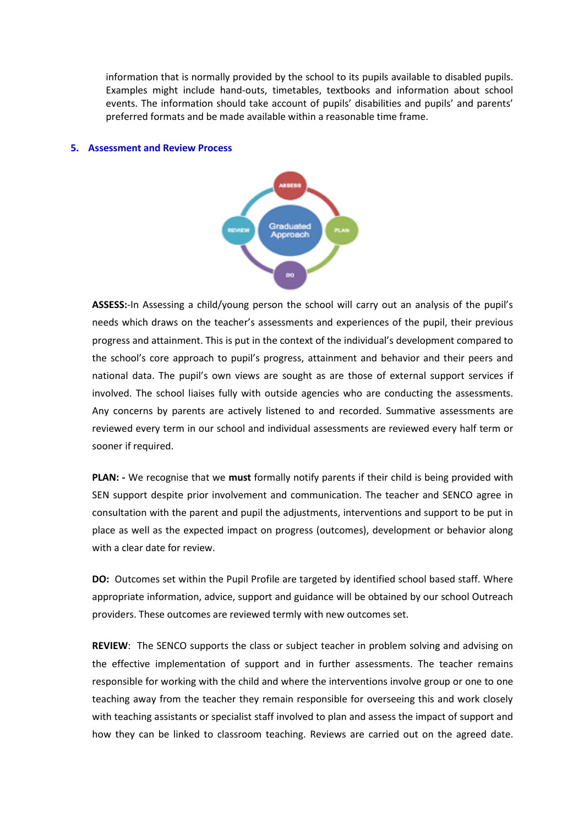information that is normally provided by the school to its pupils available to disabled pupils. Examples might include hand-outs, timetables, textbooks and information about school events. The information should take account of pupils' disabilities and pupils' and parents' preferred formats and be made available within a reasonable time frame.

#### **5. Assessment and Review Process**



**ASSESS:**-In Assessing a child/young person the school will carry out an analysis of the pupil's needs which draws on the teacher's assessments and experiences of the pupil, their previous progress and attainment. This is put in the context of the individual's development compared to the school's core approach to pupil's progress, attainment and behavior and their peers and national data. The pupil's own views are sought as are those of external support services if involved. The school liaises fully with outside agencies who are conducting the assessments. Any concerns by parents are actively listened to and recorded. Summative assessments are reviewed every term in our school and individual assessments are reviewed every half term or sooner if required.

**PLAN: -** We recognise that we **must** formally notify parents if their child is being provided with SEN support despite prior involvement and communication. The teacher and SENCO agree in consultation with the parent and pupil the adjustments, interventions and support to be put in place as well as the expected impact on progress (outcomes), development or behavior along with a clear date for review.

**DO:** Outcomes set within the Pupil Profile are targeted by identified school based staff. Where appropriate information, advice, support and guidance will be obtained by our school Outreach providers. These outcomes are reviewed termly with new outcomes set.

**REVIEW**: The SENCO supports the class or subject teacher in problem solving and advising on the effective implementation of support and in further assessments. The teacher remains responsible for working with the child and where the interventions involve group or one to one teaching away from the teacher they remain responsible for overseeing this and work closely with teaching assistants or specialist staff involved to plan and assess the impact of support and how they can be linked to classroom teaching. Reviews are carried out on the agreed date.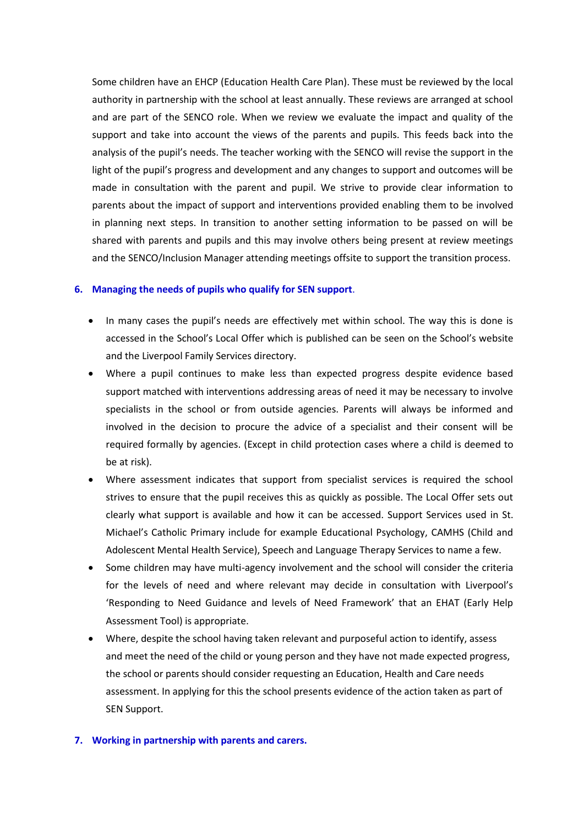Some children have an EHCP (Education Health Care Plan). These must be reviewed by the local authority in partnership with the school at least annually. These reviews are arranged at school and are part of the SENCO role. When we review we evaluate the impact and quality of the support and take into account the views of the parents and pupils. This feeds back into the analysis of the pupil's needs. The teacher working with the SENCO will revise the support in the light of the pupil's progress and development and any changes to support and outcomes will be made in consultation with the parent and pupil. We strive to provide clear information to parents about the impact of support and interventions provided enabling them to be involved in planning next steps. In transition to another setting information to be passed on will be shared with parents and pupils and this may involve others being present at review meetings and the SENCO/Inclusion Manager attending meetings offsite to support the transition process.

#### **6. Managing the needs of pupils who qualify for SEN support**.

- In many cases the pupil's needs are effectively met within school. The way this is done is accessed in the School's Local Offer which is published can be seen on the School's website and the Liverpool Family Services directory.
- Where a pupil continues to make less than expected progress despite evidence based support matched with interventions addressing areas of need it may be necessary to involve specialists in the school or from outside agencies. Parents will always be informed and involved in the decision to procure the advice of a specialist and their consent will be required formally by agencies. (Except in child protection cases where a child is deemed to be at risk).
- Where assessment indicates that support from specialist services is required the school strives to ensure that the pupil receives this as quickly as possible. The Local Offer sets out clearly what support is available and how it can be accessed. Support Services used in St. Michael's Catholic Primary include for example Educational Psychology, CAMHS (Child and Adolescent Mental Health Service), Speech and Language Therapy Services to name a few.
- Some children may have multi-agency involvement and the school will consider the criteria for the levels of need and where relevant may decide in consultation with Liverpool's 'Responding to Need Guidance and levels of Need Framework' that an EHAT (Early Help Assessment Tool) is appropriate.
- Where, despite the school having taken relevant and purposeful action to identify, assess and meet the need of the child or young person and they have not made expected progress, the school or parents should consider requesting an Education, Health and Care needs assessment. In applying for this the school presents evidence of the action taken as part of SEN Support.

#### **7. Working in partnership with parents and carers.**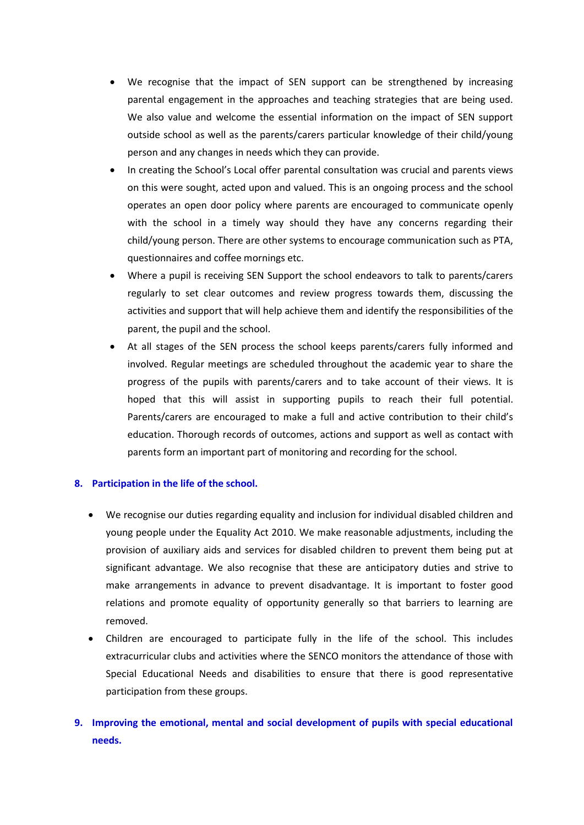- We recognise that the impact of SEN support can be strengthened by increasing parental engagement in the approaches and teaching strategies that are being used. We also value and welcome the essential information on the impact of SEN support outside school as well as the parents/carers particular knowledge of their child/young person and any changes in needs which they can provide.
- In creating the School's Local offer parental consultation was crucial and parents views on this were sought, acted upon and valued. This is an ongoing process and the school operates an open door policy where parents are encouraged to communicate openly with the school in a timely way should they have any concerns regarding their child/young person. There are other systems to encourage communication such as PTA, questionnaires and coffee mornings etc.
- Where a pupil is receiving SEN Support the school endeavors to talk to parents/carers regularly to set clear outcomes and review progress towards them, discussing the activities and support that will help achieve them and identify the responsibilities of the parent, the pupil and the school.
- At all stages of the SEN process the school keeps parents/carers fully informed and involved. Regular meetings are scheduled throughout the academic year to share the progress of the pupils with parents/carers and to take account of their views. It is hoped that this will assist in supporting pupils to reach their full potential. Parents/carers are encouraged to make a full and active contribution to their child's education. Thorough records of outcomes, actions and support as well as contact with parents form an important part of monitoring and recording for the school.

## **8. Participation in the life of the school.**

- We recognise our duties regarding equality and inclusion for individual disabled children and young people under the Equality Act 2010. We make reasonable adjustments, including the provision of auxiliary aids and services for disabled children to prevent them being put at significant advantage. We also recognise that these are anticipatory duties and strive to make arrangements in advance to prevent disadvantage. It is important to foster good relations and promote equality of opportunity generally so that barriers to learning are removed.
- Children are encouraged to participate fully in the life of the school. This includes extracurricular clubs and activities where the SENCO monitors the attendance of those with Special Educational Needs and disabilities to ensure that there is good representative participation from these groups.

## **9. Improving the emotional, mental and social development of pupils with special educational needs.**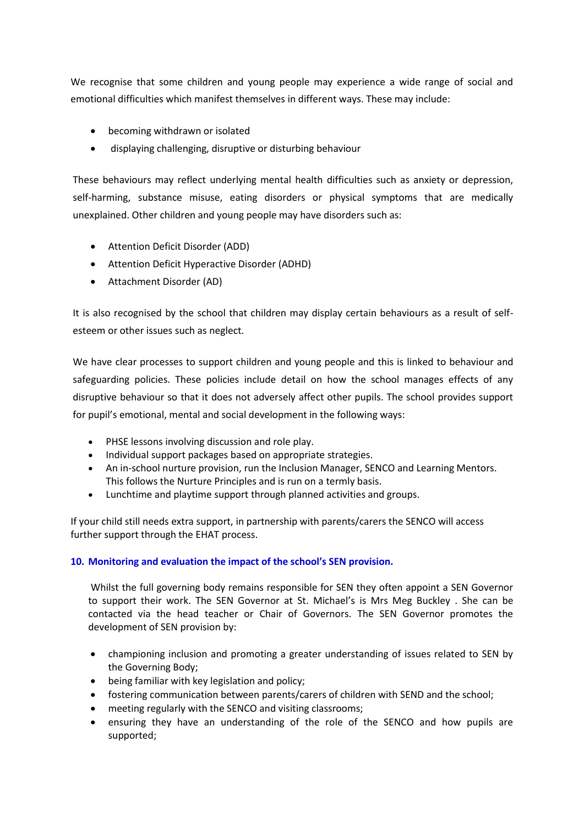We recognise that some children and young people may experience a wide range of social and emotional difficulties which manifest themselves in different ways. These may include:

- becoming withdrawn or isolated
- displaying challenging, disruptive or disturbing behaviour

These behaviours may reflect underlying mental health difficulties such as anxiety or depression, self-harming, substance misuse, eating disorders or physical symptoms that are medically unexplained. Other children and young people may have disorders such as:

- Attention Deficit Disorder (ADD)
- Attention Deficit Hyperactive Disorder (ADHD)
- Attachment Disorder (AD)

It is also recognised by the school that children may display certain behaviours as a result of selfesteem or other issues such as neglect.

We have clear processes to support children and young people and this is linked to behaviour and safeguarding policies. These policies include detail on how the school manages effects of any disruptive behaviour so that it does not adversely affect other pupils. The school provides support for pupil's emotional, mental and social development in the following ways:

- PHSE lessons involving discussion and role play.
- Individual support packages based on appropriate strategies.
- An in-school nurture provision, run the Inclusion Manager, SENCO and Learning Mentors. This follows the Nurture Principles and is run on a termly basis.
- Lunchtime and playtime support through planned activities and groups.

If your child still needs extra support, in partnership with parents/carers the SENCO will access further support through the EHAT process.

## **10. Monitoring and evaluation the impact of the school's SEN provision.**

Whilst the full governing body remains responsible for SEN they often appoint a SEN Governor to support their work. The SEN Governor at St. Michael's is Mrs Meg Buckley . She can be contacted via the head teacher or Chair of Governors. The SEN Governor promotes the development of SEN provision by:

- championing inclusion and promoting a greater understanding of issues related to SEN by the Governing Body;
- being familiar with key legislation and policy;
- fostering communication between parents/carers of children with SEND and the school;
- meeting regularly with the SENCO and visiting classrooms;
- ensuring they have an understanding of the role of the SENCO and how pupils are supported;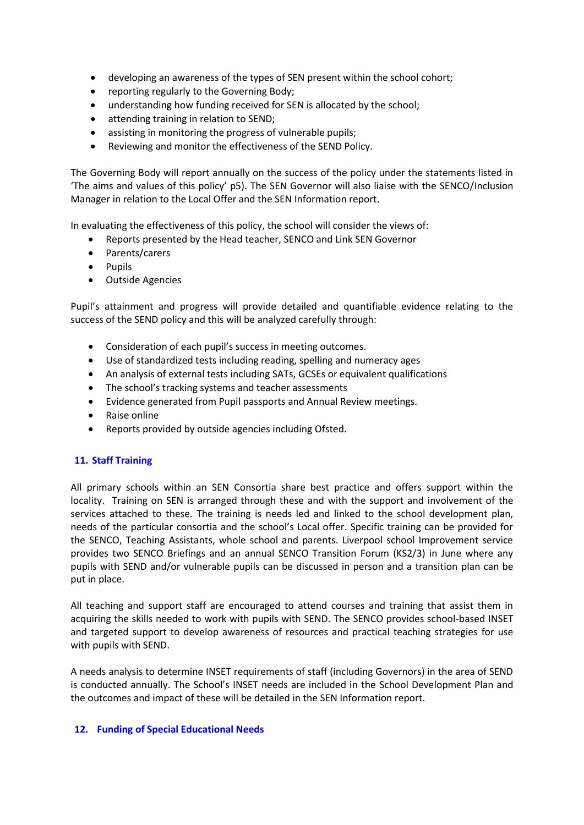- developing an awareness of the types of SEN present within the school cohort;
- reporting regularly to the Governing Body;
- understanding how funding received for SEN is allocated by the school;
- attending training in relation to SEND;
- assisting in monitoring the progress of vulnerable pupils;
- Reviewing and monitor the effectiveness of the SEND Policy.

The Governing Body will report annually on the success of the policy under the statements listed in 'The aims and values of this policy' p5). The SEN Governor will also liaise with the SENCO/Inclusion Manager in relation to the Local Offer and the SEN Information report.

In evaluating the effectiveness of this policy, the school will consider the views of:

- Reports presented by the Head teacher, SENCO and Link SEN Governor
- Parents/carers
- Pupils
- Outside Agencies

Pupil's attainment and progress will provide detailed and quantifiable evidence relating to the success of the SEND policy and this will be analyzed carefully through:

- Consideration of each pupil's success in meeting outcomes.
- Use of standardized tests including reading, spelling and numeracy ages
- An analysis of external tests including SATs, GCSEs or equivalent qualifications
- The school's tracking systems and teacher assessments
- Evidence generated from Pupil passports and Annual Review meetings.
- Raise online
- Reports provided by outside agencies including Ofsted.

## **11. Staff Training**

All primary schools within an SEN Consortia share best practice and offers support within the locality. Training on SEN is arranged through these and with the support and involvement of the services attached to these. The training is needs led and linked to the school development plan, needs of the particular consortia and the school's Local offer. Specific training can be provided for the SENCO, Teaching Assistants, whole school and parents. Liverpool school Improvement service provides two SENCO Briefings and an annual SENCO Transition Forum (KS2/3) in June where any pupils with SEND and/or vulnerable pupils can be discussed in person and a transition plan can be put in place.

All teaching and support staff are encouraged to attend courses and training that assist them in acquiring the skills needed to work with pupils with SEND. The SENCO provides school-based INSET and targeted support to develop awareness of resources and practical teaching strategies for use with pupils with SEND.

A needs analysis to determine INSET requirements of staff (including Governors) in the area of SEND is conducted annually. The School's INSET needs are included in the School Development Plan and the outcomes and impact of these will be detailed in the SEN Information report.

## **12. Funding of Special Educational Needs**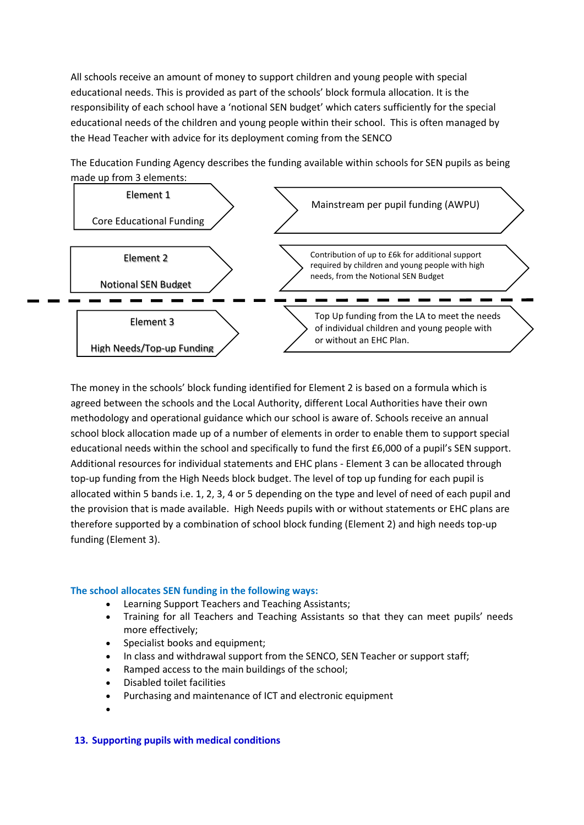All schools receive an amount of money to support children and young people with special educational needs. This is provided as part of the schools' block formula allocation. It is the responsibility of each school have a 'notional SEN budget' which caters sufficiently for the special educational needs of the children and young people within their school. This is often managed by the Head Teacher with advice for its deployment coming from the SENCO

Element 1 Core Educational Funding Mainstream per pupil funding (AWPU) Element 2 Notional SEN Budget Contribution of up to £6k for additional support required by children and young people with high needs, from the Notional SEN Budget Element 3 High Needs/Top-up Funding Top Up funding from the LA to meet the needs of individual children and young people with or without an EHC Plan.

The Education Funding Agency describes the funding available within schools for SEN pupils as being made up from 3 elements:

The money in the schools' block funding identified for Element 2 is based on a formula which is agreed between the schools and the Local Authority, different Local Authorities have their own methodology and operational guidance which our school is aware of. Schools receive an annual school block allocation made up of a number of elements in order to enable them to support special educational needs within the school and specifically to fund the first £6,000 of a pupil's SEN support. Additional resources for individual statements and EHC plans - Element 3 can be allocated through top-up funding from the High Needs block budget. The level of top up funding for each pupil is allocated within 5 bands i.e. 1, 2, 3, 4 or 5 depending on the type and level of need of each pupil and the provision that is made available. High Needs pupils with or without statements or EHC plans are therefore supported by a combination of school block funding (Element 2) and high needs top-up funding (Element 3).

## **The school allocates SEN funding in the following ways:**

- Learning Support Teachers and Teaching Assistants;
- Training for all Teachers and Teaching Assistants so that they can meet pupils' needs more effectively;
- Specialist books and equipment;
- In class and withdrawal support from the SENCO, SEN Teacher or support staff;
- Ramped access to the main buildings of the school;
- Disabled toilet facilities
- Purchasing and maintenance of ICT and electronic equipment
- $\bullet$

## **13. Supporting pupils with medical conditions**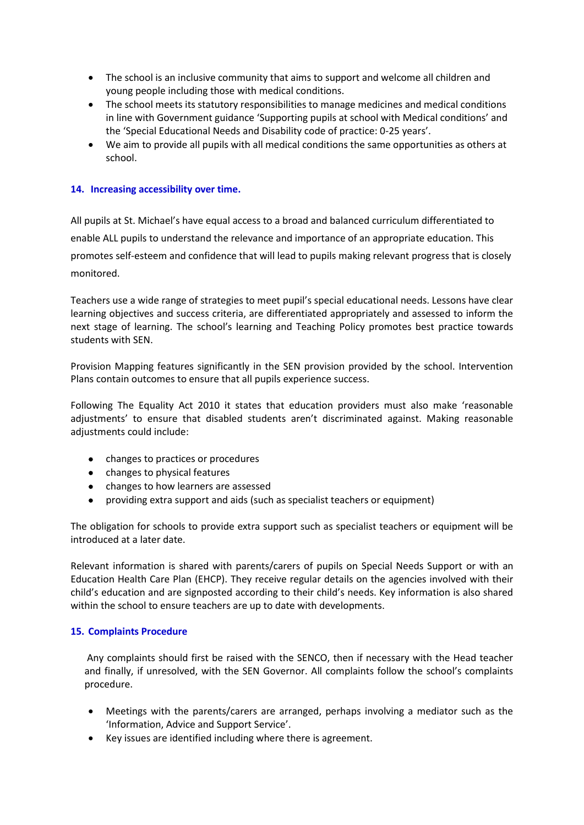- The school is an inclusive community that aims to support and welcome all children and young people including those with medical conditions.
- The school meets its statutory responsibilities to manage medicines and medical conditions in line with Government guidance 'Supporting pupils at school with Medical conditions' and the 'Special Educational Needs and Disability code of practice: 0-25 years'.
- We aim to provide all pupils with all medical conditions the same opportunities as others at school.

## **14. Increasing accessibility over time.**

All pupils at St. Michael's have equal access to a broad and balanced curriculum differentiated to enable ALL pupils to understand the relevance and importance of an appropriate education. This promotes self-esteem and confidence that will lead to pupils making relevant progress that is closely monitored.

Teachers use a wide range of strategies to meet pupil's special educational needs. Lessons have clear learning objectives and success criteria, are differentiated appropriately and assessed to inform the next stage of learning. The school's learning and Teaching Policy promotes best practice towards students with SEN.

Provision Mapping features significantly in the SEN provision provided by the school. Intervention Plans contain outcomes to ensure that all pupils experience success.

Following The Equality Act 2010 it states that education providers must also make 'reasonable adjustments' to ensure that disabled students aren't discriminated against. Making reasonable adjustments could include:

- changes to practices or procedures
- changes to physical features
- changes to how learners are assessed
- providing extra support and aids (such as specialist teachers or equipment)

The obligation for schools to provide extra support such as specialist teachers or equipment will be introduced at a later date.

Relevant information is shared with parents/carers of pupils on Special Needs Support or with an Education Health Care Plan (EHCP). They receive regular details on the agencies involved with their child's education and are signposted according to their child's needs. Key information is also shared within the school to ensure teachers are up to date with developments.

## **15. Complaints Procedure**

Any complaints should first be raised with the SENCO, then if necessary with the Head teacher and finally, if unresolved, with the SEN Governor. All complaints follow the school's complaints procedure.

- Meetings with the parents/carers are arranged, perhaps involving a mediator such as the 'Information, Advice and Support Service'.
- Key issues are identified including where there is agreement.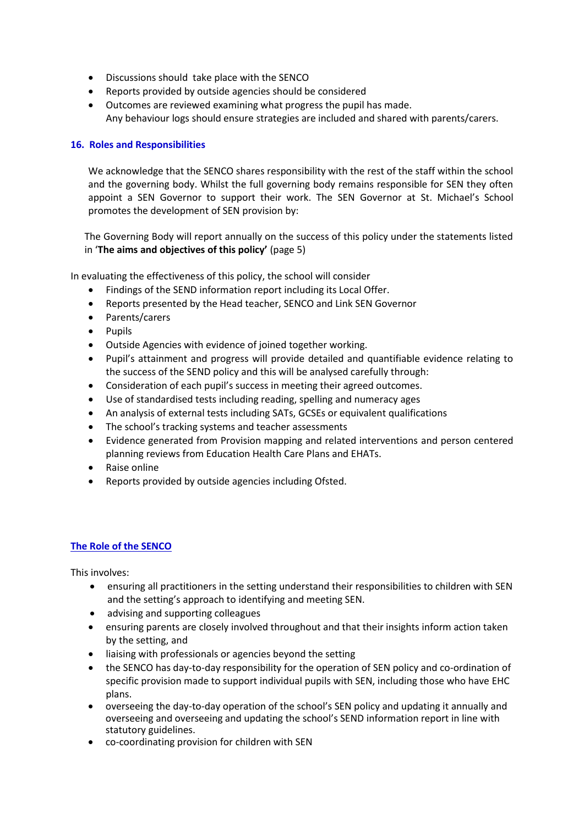- Discussions should take place with the SENCO
- Reports provided by outside agencies should be considered
- Outcomes are reviewed examining what progress the pupil has made. Any behaviour logs should ensure strategies are included and shared with parents/carers.

#### **16. Roles and Responsibilities**

We acknowledge that the SENCO shares responsibility with the rest of the staff within the school and the governing body. Whilst the full governing body remains responsible for SEN they often appoint a SEN Governor to support their work. The SEN Governor at St. Michael's School promotes the development of SEN provision by:

The Governing Body will report annually on the success of this policy under the statements listed in '**The aims and objectives of this policy'** (page 5)

In evaluating the effectiveness of this policy, the school will consider

- Findings of the SEND information report including its Local Offer.
- Reports presented by the Head teacher, SENCO and Link SEN Governor
- Parents/carers
- Pupils
- Outside Agencies with evidence of joined together working.
- Pupil's attainment and progress will provide detailed and quantifiable evidence relating to the success of the SEND policy and this will be analysed carefully through:
- Consideration of each pupil's success in meeting their agreed outcomes.
- Use of standardised tests including reading, spelling and numeracy ages
- An analysis of external tests including SATs, GCSEs or equivalent qualifications
- The school's tracking systems and teacher assessments
- Evidence generated from Provision mapping and related interventions and person centered planning reviews from Education Health Care Plans and EHATs.
- Raise online
- Reports provided by outside agencies including Ofsted.

## **The Role of the SENCO**

This involves:

- ensuring all practitioners in the setting understand their responsibilities to children with SEN and the setting's approach to identifying and meeting SEN.
- advising and supporting colleagues
- ensuring parents are closely involved throughout and that their insights inform action taken by the setting, and
- liaising with professionals or agencies beyond the setting
- the SENCO has day-to-day responsibility for the operation of SEN policy and co-ordination of specific provision made to support individual pupils with SEN, including those who have EHC plans.
- overseeing the day-to-day operation of the school's SEN policy and updating it annually and overseeing and overseeing and updating the school's SEND information report in line with statutory guidelines.
- co-coordinating provision for children with SEN